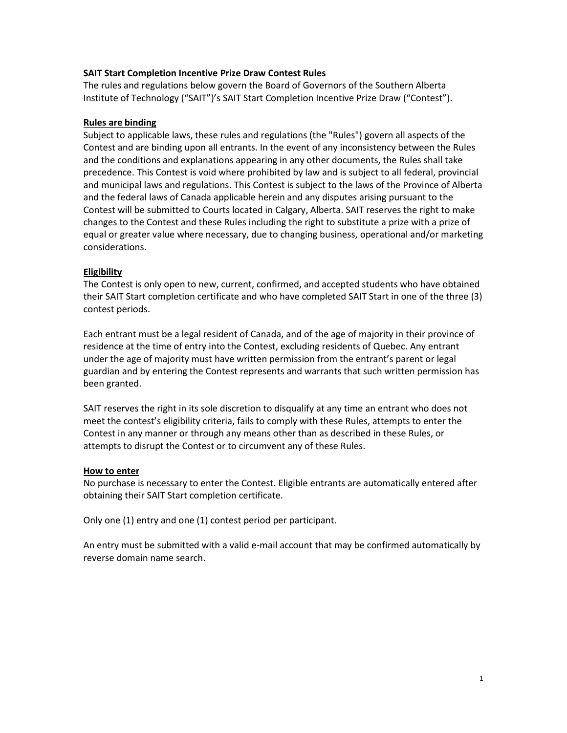## **SAIT Start Completion Incentive Prize Draw Contest Rules**

The rules and regulations below govern the Board of Governors of the Southern Alberta Institute of Technology ("SAIT")'s SAIT Start Completion Incentive Prize Draw ("Contest").

#### **Rules are binding**

Subject to applicable laws, these rules and regulations (the "Rules") govern all aspects of the Contest and are binding upon all entrants. In the event of any inconsistency between the Rules and the conditions and explanations appearing in any other documents, the Rules shall take precedence. This Contest is void where prohibited by law and is subject to all federal, provincial and municipal laws and regulations. This Contest is subject to the laws of the Province of Alberta and the federal laws of Canada applicable herein and any disputes arising pursuant to the Contest will be submitted to Courts located in Calgary, Alberta. SAIT reserves the right to make changes to the Contest and these Rules including the right to substitute a prize with a prize of equal or greater value where necessary, due to changing business, operational and/or marketing considerations.

#### **Eligibility**

The Contest is only open to new, current, confirmed, and accepted students who have obtained their SAIT Start completion certificate and who have completed SAIT Start in one of the three (3) contest periods.

Each entrant must be a legal resident of Canada, and of the age of majority in their province of residence at the time of entry into the Contest, excluding residents of Quebec. Any entrant under the age of majority must have written permission from the entrant's parent or legal guardian and by entering the Contest represents and warrants that such written permission has been granted.

SAIT reserves the right in its sole discretion to disqualify at any time an entrant who does not meet the contest's eligibility criteria, fails to comply with these Rules, attempts to enter the Contest in any manner or through any means other than as described in these Rules, or attempts to disrupt the Contest or to circumvent any of these Rules.

#### **How to enter**

No purchase is necessary to enter the Contest. Eligible entrants are automatically entered after obtaining their SAIT Start completion certificate.

Only one (1) entry and one (1) contest period per participant.

An entry must be submitted with a valid e-mail account that may be confirmed automatically by reverse domain name search.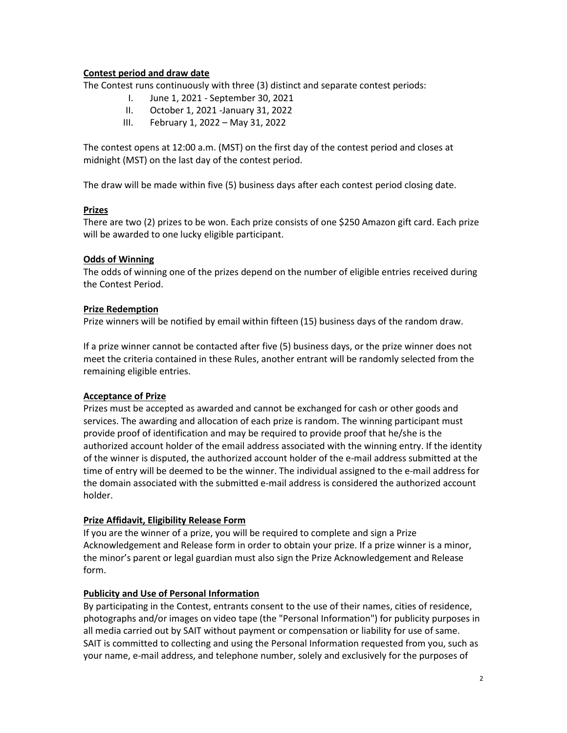## **Contest period and draw date**

The Contest runs continuously with three (3) distinct and separate contest periods:

- I. June 1, 2021 September 30, 2021
- II. October 1, 2021 -January 31, 2022
- III. February 1, 2022 May 31, 2022

The contest opens at 12:00 a.m. (MST) on the first day of the contest period and closes at midnight (MST) on the last day of the contest period.

The draw will be made within five (5) business days after each contest period closing date.

#### **Prizes**

There are two (2) prizes to be won. Each prize consists of one \$250 Amazon gift card. Each prize will be awarded to one lucky eligible participant.

## **Odds of Winning**

The odds of winning one of the prizes depend on the number of eligible entries received during the Contest Period.

## **Prize Redemption**

Prize winners will be notified by email within fifteen (15) business days of the random draw.

If a prize winner cannot be contacted after five (5) business days, or the prize winner does not meet the criteria contained in these Rules, another entrant will be randomly selected from the remaining eligible entries.

## **Acceptance of Prize**

Prizes must be accepted as awarded and cannot be exchanged for cash or other goods and services. The awarding and allocation of each prize is random. The winning participant must provide proof of identification and may be required to provide proof that he/she is the authorized account holder of the email address associated with the winning entry. If the identity of the winner is disputed, the authorized account holder of the e-mail address submitted at the time of entry will be deemed to be the winner. The individual assigned to the e-mail address for the domain associated with the submitted e-mail address is considered the authorized account holder.

## **Prize Affidavit, Eligibility Release Form**

If you are the winner of a prize, you will be required to complete and sign a Prize Acknowledgement and Release form in order to obtain your prize. If a prize winner is a minor, the minor's parent or legal guardian must also sign the Prize Acknowledgement and Release form.

## **Publicity and Use of Personal Information**

By participating in the Contest, entrants consent to the use of their names, cities of residence, photographs and/or images on video tape (the "Personal Information") for publicity purposes in all media carried out by SAIT without payment or compensation or liability for use of same. SAIT is committed to collecting and using the Personal Information requested from you, such as your name, e-mail address, and telephone number, solely and exclusively for the purposes of